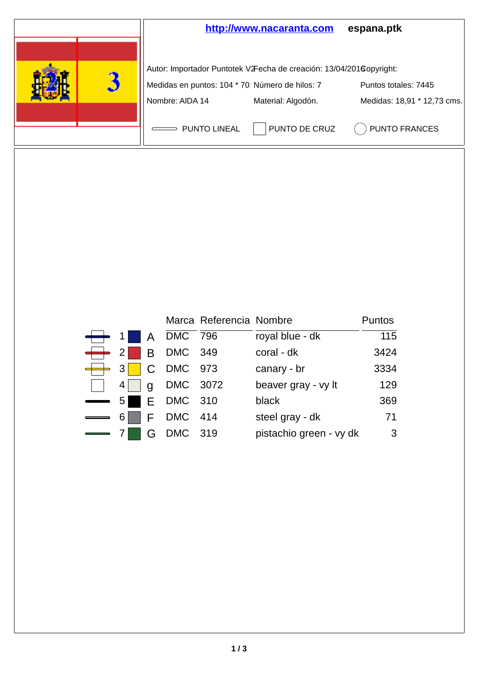

|                |                                                                                                                               | Marca Referencia Nombre |                         | <b>Puntos</b> |
|----------------|-------------------------------------------------------------------------------------------------------------------------------|-------------------------|-------------------------|---------------|
|                | $\begin{array}{ c c c c c c }\n\hline\n\text{ \quad \quad 1} & \text{A} & \text{DMC} & \overline{796} \\ \hline\n\end{array}$ |                         | royal blue - dk         | 115           |
|                | $\begin{array}{ c c c c c c } \hline \textbf{+} & 2 & \textbf{B} & \textbf{DMC} & 349 \hline \end{array}$                     |                         | coral - dk              | 3424          |
|                |                                                                                                                               |                         | canary - br             | 3334          |
|                | g DMC 3072                                                                                                                    |                         | beaver gray - vy It     | 129           |
|                | 5 E DMC 310                                                                                                                   |                         | black                   | 369           |
| 6 <sup>1</sup> | $F$ DMC 414                                                                                                                   |                         | steel gray - dk         | 71            |
|                | G DMC 319                                                                                                                     |                         | pistachio green - vy dk | - 3           |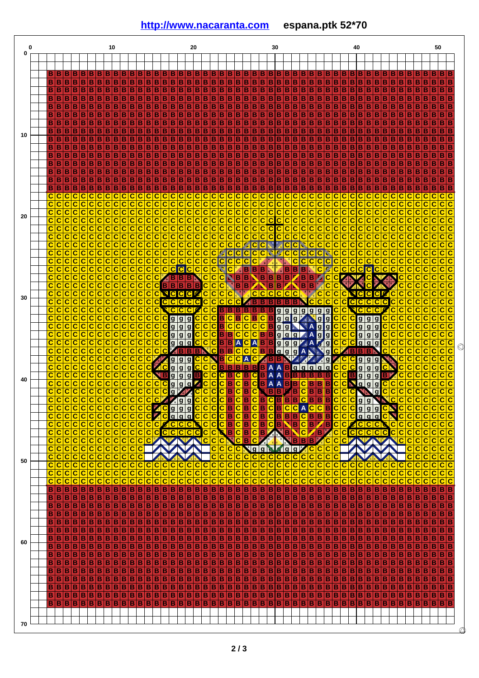